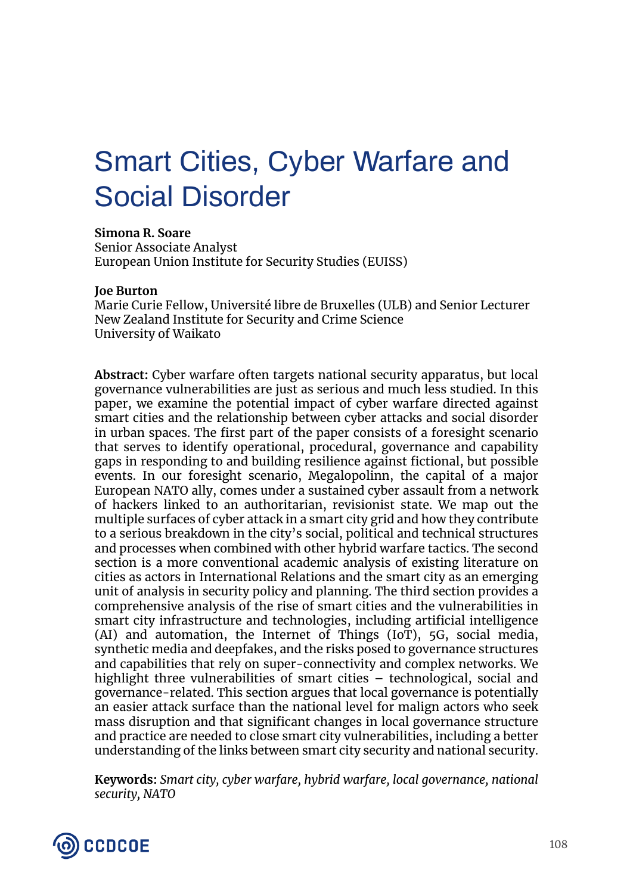# Smart Cities, Cyber Warfare and Social Disorder

**Simona R. Soare**

Senior Associate Analyst European Union Institute for Security Studies (EUISS)

## **Joe Burton**

Marie Curie Fellow, Université libre de Bruxelles (ULB) and Senior Lecturer New Zealand Institute for Security and Crime Science University of Waikato

**Abstract:** Cyber warfare often targets national security apparatus, but local governance vulnerabilities are just as serious and much less studied. In this paper, we examine the potential impact of cyber warfare directed against smart cities and the relationship between cyber attacks and social disorder in urban spaces. The first part of the paper consists of a foresight scenario that serves to identify operational, procedural, governance and capability gaps in responding to and building resilience against fictional, but possible events. In our foresight scenario, Megalopolinn, the capital of a major European NATO ally, comes under a sustained cyber assault from a network of hackers linked to an authoritarian, revisionist state. We map out the multiple surfaces of cyber attack in a smart city grid and how they contribute to a serious breakdown in the city's social, political and technical structures and processes when combined with other hybrid warfare tactics. The second section is a more conventional academic analysis of existing literature on cities as actors in International Relations and the smart city as an emerging unit of analysis in security policy and planning. The third section provides a comprehensive analysis of the rise of smart cities and the vulnerabilities in smart city infrastructure and technologies, including artificial intelligence (AI) and automation, the Internet of Things (IoT), 5G, social media, synthetic media and deepfakes, and the risks posed to governance structures and capabilities that rely on super-connectivity and complex networks. We highlight three vulnerabilities of smart cities – technological, social and governance-related. This section argues that local governance is potentially an easier attack surface than the national level for malign actors who seek mass disruption and that significant changes in local governance structure and practice are needed to close smart city vulnerabilities, including a better understanding of the links between smart city security and national security.

**Keywords:** *Smart city, cyber warfare, hybrid warfare, local governance, national security, NATO*

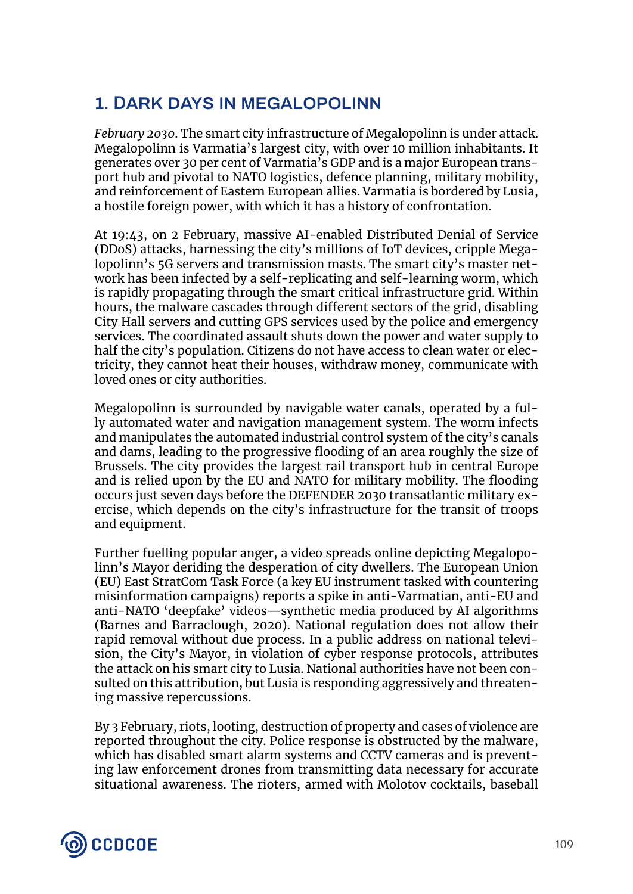# **1. DARK DAYS IN MEGALOPOLINN**

*February 2030*. The smart city infrastructure of Megalopolinn is under attack. Megalopolinn is Varmatia's largest city, with over 10 million inhabitants. It generates over 30 per cent of Varmatia's GDP and is a major European transport hub and pivotal to NATO logistics, defence planning, military mobility, and reinforcement of Eastern European allies. Varmatia is bordered by Lusia, a hostile foreign power, with which it has a history of confrontation.

At 19:43, on 2 February, massive AI-enabled Distributed Denial of Service (DDoS) attacks, harnessing the city's millions of IoT devices, cripple Megalopolinn's 5G servers and transmission masts. The smart city's master network has been infected by a self-replicating and self-learning worm, which is rapidly propagating through the smart critical infrastructure grid. Within hours, the malware cascades through different sectors of the grid, disabling City Hall servers and cutting GPS services used by the police and emergency services. The coordinated assault shuts down the power and water supply to half the city's population. Citizens do not have access to clean water or electricity, they cannot heat their houses, withdraw money, communicate with loved ones or city authorities.

Megalopolinn is surrounded by navigable water canals, operated by a fully automated water and navigation management system. The worm infects and manipulates the automated industrial control system of the city's canals and dams, leading to the progressive flooding of an area roughly the size of Brussels. The city provides the largest rail transport hub in central Europe and is relied upon by the EU and NATO for military mobility. The flooding occurs just seven days before the DEFENDER 2030 transatlantic military exercise, which depends on the city's infrastructure for the transit of troops and equipment.

Further fuelling popular anger, a video spreads online depicting Megalopolinn's Mayor deriding the desperation of city dwellers. The European Union (EU) East StratCom Task Force (a key EU instrument tasked with countering misinformation campaigns) reports a spike in anti-Varmatian, anti-EU and anti-NATO 'deepfake' videos—synthetic media produced by AI algorithms (Barnes and Barraclough, 2020). National regulation does not allow their rapid removal without due process. In a public address on national television, the City's Mayor, in violation of cyber response protocols, attributes the attack on his smart city to Lusia. National authorities have not been consulted on this attribution, but Lusia is responding aggressively and threatening massive repercussions.

By 3 February, riots, looting, destruction of property and cases of violence are reported throughout the city. Police response is obstructed by the malware, which has disabled smart alarm systems and CCTV cameras and is preventing law enforcement drones from transmitting data necessary for accurate situational awareness. The rioters, armed with Molotov cocktails, baseball

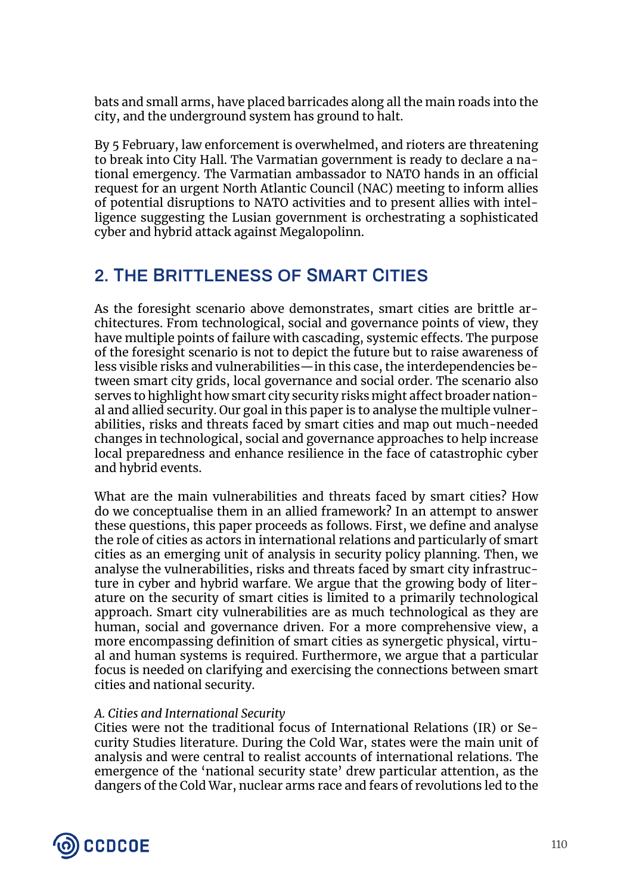bats and small arms, have placed barricades along all the main roads into the city, and the underground system has ground to halt.

By 5 February, law enforcement is overwhelmed, and rioters are threatening to break into City Hall. The Varmatian government is ready to declare a national emergency. The Varmatian ambassador to NATO hands in an official request for an urgent North Atlantic Council (NAC) meeting to inform allies of potential disruptions to NATO activities and to present allies with intelligence suggesting the Lusian government is orchestrating a sophisticated cyber and hybrid attack against Megalopolinn.

# **2. THE BRITTLENESS OF SMART CITIES**

As the foresight scenario above demonstrates, smart cities are brittle architectures. From technological, social and governance points of view, they have multiple points of failure with cascading, systemic effects. The purpose of the foresight scenario is not to depict the future but to raise awareness of less visible risks and vulnerabilities—in this case, the interdependencies between smart city grids, local governance and social order. The scenario also serves to highlight how smart city security risks might affect broader national and allied security. Our goal in this paper is to analyse the multiple vulnerabilities, risks and threats faced by smart cities and map out much-needed changes in technological, social and governance approaches to help increase local preparedness and enhance resilience in the face of catastrophic cyber and hybrid events.

What are the main vulnerabilities and threats faced by smart cities? How do we conceptualise them in an allied framework? In an attempt to answer these questions, this paper proceeds as follows. First, we define and analyse the role of cities as actors in international relations and particularly of smart cities as an emerging unit of analysis in security policy planning. Then, we analyse the vulnerabilities, risks and threats faced by smart city infrastructure in cyber and hybrid warfare. We argue that the growing body of literature on the security of smart cities is limited to a primarily technological approach. Smart city vulnerabilities are as much technological as they are human, social and governance driven. For a more comprehensive view, a more encompassing definition of smart cities as synergetic physical, virtual and human systems is required. Furthermore, we argue that a particular focus is needed on clarifying and exercising the connections between smart cities and national security.

## *A. Cities and International Security*

Cities were not the traditional focus of International Relations (IR) or Security Studies literature. During the Cold War, states were the main unit of analysis and were central to realist accounts of international relations. The emergence of the 'national security state' drew particular attention, as the dangers of the Cold War, nuclear arms race and fears of revolutions led to the

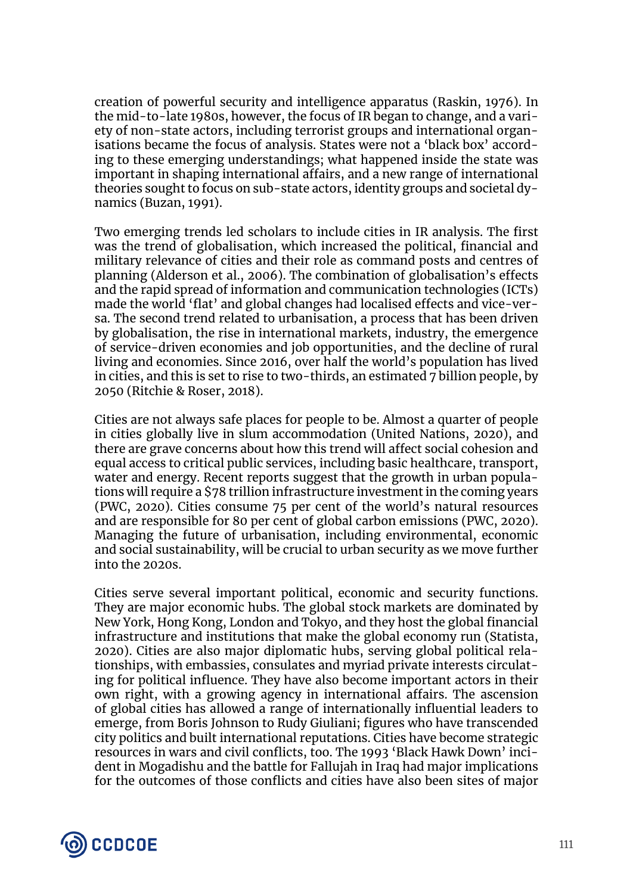creation of powerful security and intelligence apparatus (Raskin, 1976). In the mid-to-late 1980s, however, the focus of IR began to change, and a variety of non-state actors, including terrorist groups and international organisations became the focus of analysis. States were not a 'black box' according to these emerging understandings; what happened inside the state was important in shaping international affairs, and a new range of international theories sought to focus on sub-state actors, identity groups and societal dynamics (Buzan, 1991).

Two emerging trends led scholars to include cities in IR analysis. The first was the trend of globalisation, which increased the political, financial and military relevance of cities and their role as command posts and centres of planning (Alderson et al., 2006). The combination of globalisation's effects and the rapid spread of information and communication technologies (ICTs) made the world 'flat' and global changes had localised effects and vice-versa. The second trend related to urbanisation, a process that has been driven by globalisation, the rise in international markets, industry, the emergence of service-driven economies and job opportunities, and the decline of rural living and economies. Since 2016, over half the world's population has lived in cities, and this is set to rise to two-thirds, an estimated 7 billion people, by 2050 (Ritchie & Roser, 2018).

Cities are not always safe places for people to be. Almost a quarter of people in cities globally live in slum accommodation (United Nations, 2020), and there are grave concerns about how this trend will affect social cohesion and equal access to critical public services, including basic healthcare, transport, water and energy. Recent reports suggest that the growth in urban populations will require a \$78 trillion infrastructure investment in the coming years (PWC, 2020). Cities consume 75 per cent of the world's natural resources and are responsible for 80 per cent of global carbon emissions (PWC, 2020). Managing the future of urbanisation, including environmental, economic and social sustainability, will be crucial to urban security as we move further into the 2020s.

Cities serve several important political, economic and security functions. They are major economic hubs. The global stock markets are dominated by New York, Hong Kong, London and Tokyo, and they host the global financial infrastructure and institutions that make the global economy run (Statista, 2020). Cities are also major diplomatic hubs, serving global political relationships, with embassies, consulates and myriad private interests circulating for political influence. They have also become important actors in their own right, with a growing agency in international affairs. The ascension of global cities has allowed a range of internationally influential leaders to emerge, from Boris Johnson to Rudy Giuliani; figures who have transcended city politics and built international reputations. Cities have become strategic resources in wars and civil conflicts, too. The 1993 'Black Hawk Down' incident in Mogadishu and the battle for Fallujah in Iraq had major implications for the outcomes of those conflicts and cities have also been sites of major

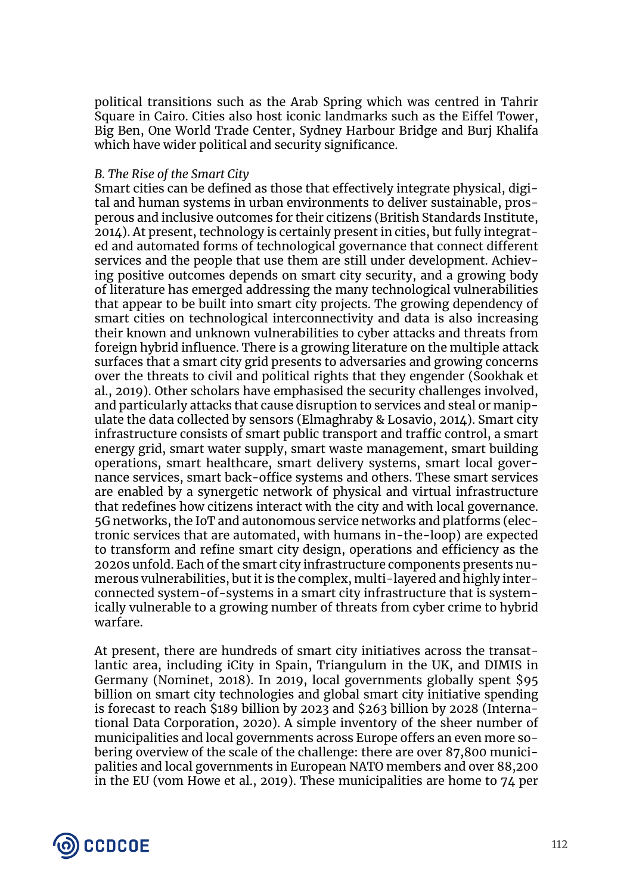political transitions such as the Arab Spring which was centred in Tahrir Square in Cairo. Cities also host iconic landmarks such as the Eiffel Tower, Big Ben, One World Trade Center, Sydney Harbour Bridge and Burj Khalifa which have wider political and security significance.

#### *B. The Rise of the Smart City*

Smart cities can be defined as those that effectively integrate physical, digital and human systems in urban environments to deliver sustainable, prosperous and inclusive outcomes for their citizens (British Standards Institute, 2014). At present, technology is certainly present in cities, but fully integrated and automated forms of technological governance that connect different services and the people that use them are still under development. Achieving positive outcomes depends on smart city security, and a growing body of literature has emerged addressing the many technological vulnerabilities that appear to be built into smart city projects. The growing dependency of smart cities on technological interconnectivity and data is also increasing their known and unknown vulnerabilities to cyber attacks and threats from foreign hybrid influence. There is a growing literature on the multiple attack surfaces that a smart city grid presents to adversaries and growing concerns over the threats to civil and political rights that they engender (Sookhak et al., 2019). Other scholars have emphasised the security challenges involved, and particularly attacks that cause disruption to services and steal or manipulate the data collected by sensors (Elmaghraby & Losavio, 2014). Smart city infrastructure consists of smart public transport and traffic control, a smart energy grid, smart water supply, smart waste management, smart building operations, smart healthcare, smart delivery systems, smart local governance services, smart back-office systems and others. These smart services are enabled by a synergetic network of physical and virtual infrastructure that redefines how citizens interact with the city and with local governance. 5G networks, the IoT and autonomous service networks and platforms (electronic services that are automated, with humans in-the-loop) are expected to transform and refine smart city design, operations and efficiency as the 2020s unfold. Each of the smart city infrastructure components presents numerous vulnerabilities, but it is the complex, multi-layered and highly interconnected system-of-systems in a smart city infrastructure that is systemically vulnerable to a growing number of threats from cyber crime to hybrid warfare.

At present, there are hundreds of smart city initiatives across the transatlantic area, including iCity in Spain, Triangulum in the UK, and DIMIS in Germany (Nominet, 2018). In 2019, local governments globally spent \$95 billion on smart city technologies and global smart city initiative spending is forecast to reach \$189 billion by 2023 and \$263 billion by 2028 (International Data Corporation, 2020). A simple inventory of the sheer number of municipalities and local governments across Europe offers an even more sobering overview of the scale of the challenge: there are over 87,800 municipalities and local governments in European NATO members and over 88,200 in the EU (vom Howe et al., 2019). These municipalities are home to 74 per

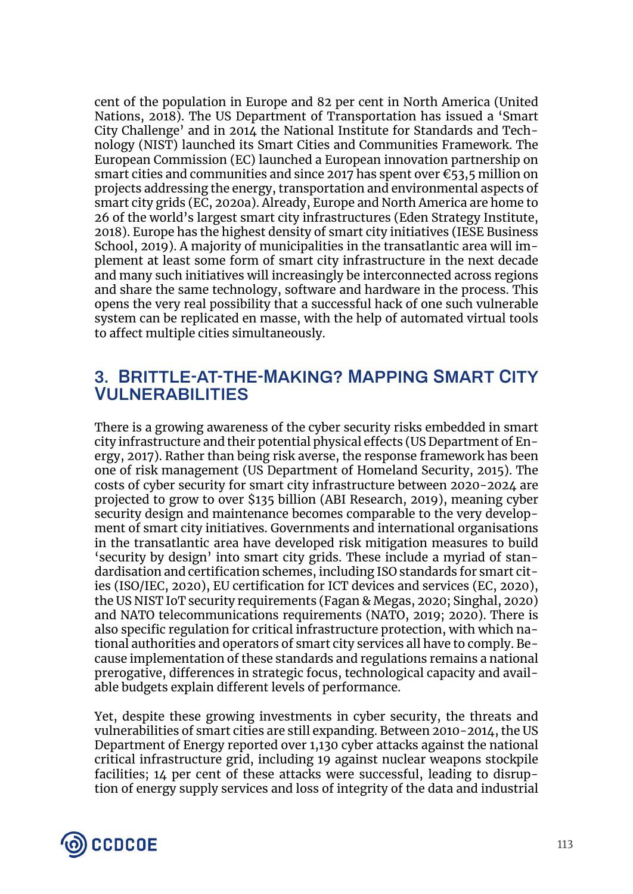cent of the population in Europe and 82 per cent in North America (United Nations, 2018). The US Department of Transportation has issued a 'Smart City Challenge' and in 2014 the National Institute for Standards and Technology (NIST) launched its Smart Cities and Communities Framework. The European Commission (EC) launched a European innovation partnership on smart cities and communities and since 2017 has spent over €53,5 million on projects addressing the energy, transportation and environmental aspects of smart city grids (EC, 2020a). Already, Europe and North America are home to 26 of the world's largest smart city infrastructures (Eden Strategy Institute, 2018). Europe has the highest density of smart city initiatives (IESE Business School, 2019). A majority of municipalities in the transatlantic area will implement at least some form of smart city infrastructure in the next decade and many such initiatives will increasingly be interconnected across regions and share the same technology, software and hardware in the process. This opens the very real possibility that a successful hack of one such vulnerable system can be replicated en masse, with the help of automated virtual tools to affect multiple cities simultaneously.

## **3. BRITTLE-AT-THE-MAKING? MAPPING SMART CITY VULNERABILITIES**

There is a growing awareness of the cyber security risks embedded in smart city infrastructure and their potential physical effects (US Department of Energy, 2017). Rather than being risk averse, the response framework has been one of risk management (US Department of Homeland Security, 2015). The costs of cyber security for smart city infrastructure between 2020-2024 are projected to grow to over \$135 billion (ABI Research, 2019), meaning cyber security design and maintenance becomes comparable to the very development of smart city initiatives. Governments and international organisations in the transatlantic area have developed risk mitigation measures to build 'security by design' into smart city grids. These include a myriad of standardisation and certification schemes, including ISO standards for smart cities (ISO/IEC, 2020), EU certification for ICT devices and services (EC, 2020), the US NIST IoT security requirements (Fagan & Megas, 2020; Singhal, 2020) and NATO telecommunications requirements (NATO, 2019; 2020). There is also specific regulation for critical infrastructure protection, with which national authorities and operators of smart city services all have to comply. Because implementation of these standards and regulations remains a national prerogative, differences in strategic focus, technological capacity and available budgets explain different levels of performance.

Yet, despite these growing investments in cyber security, the threats and vulnerabilities of smart cities are still expanding. Between 2010-2014, the US Department of Energy reported over 1,130 cyber attacks against the national critical infrastructure grid, including 19 against nuclear weapons stockpile facilities; 14 per cent of these attacks were successful, leading to disruption of energy supply services and loss of integrity of the data and industrial

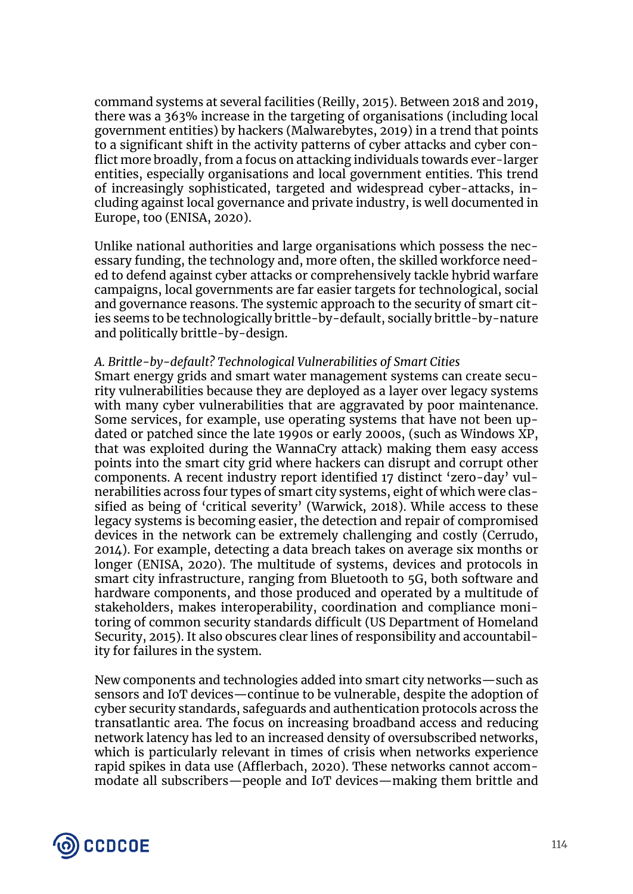command systems at several facilities (Reilly, 2015). Between 2018 and 2019, there was a 363% increase in the targeting of organisations (including local government entities) by hackers (Malwarebytes, 2019) in a trend that points to a significant shift in the activity patterns of cyber attacks and cyber conflict more broadly, from a focus on attacking individuals towards ever-larger entities, especially organisations and local government entities. This trend of increasingly sophisticated, targeted and widespread cyber-attacks, including against local governance and private industry, is well documented in Europe, too (ENISA, 2020).

Unlike national authorities and large organisations which possess the necessary funding, the technology and, more often, the skilled workforce needed to defend against cyber attacks or comprehensively tackle hybrid warfare campaigns, local governments are far easier targets for technological, social and governance reasons. The systemic approach to the security of smart cities seems to be technologically brittle-by-default, socially brittle-by-nature and politically brittle-by-design.

### *A. Brittle-by-default? Technological Vulnerabilities of Smart Cities*

Smart energy grids and smart water management systems can create security vulnerabilities because they are deployed as a layer over legacy systems with many cyber vulnerabilities that are aggravated by poor maintenance. Some services, for example, use operating systems that have not been updated or patched since the late 1990s or early 2000s, (such as Windows XP, that was exploited during the WannaCry attack) making them easy access points into the smart city grid where hackers can disrupt and corrupt other components. A recent industry report identified 17 distinct 'zero-day' vulnerabilities across four types of smart city systems, eight of which were classified as being of 'critical severity' (Warwick, 2018). While access to these legacy systems is becoming easier, the detection and repair of compromised devices in the network can be extremely challenging and costly (Cerrudo, 2014). For example, detecting a data breach takes on average six months or longer (ENISA, 2020). The multitude of systems, devices and protocols in smart city infrastructure, ranging from Bluetooth to 5G, both software and hardware components, and those produced and operated by a multitude of stakeholders, makes interoperability, coordination and compliance monitoring of common security standards difficult (US Department of Homeland Security, 2015). It also obscures clear lines of responsibility and accountability for failures in the system.

New components and technologies added into smart city networks—such as sensors and IoT devices—continue to be vulnerable, despite the adoption of cyber security standards, safeguards and authentication protocols across the transatlantic area. The focus on increasing broadband access and reducing network latency has led to an increased density of oversubscribed networks, which is particularly relevant in times of crisis when networks experience rapid spikes in data use (Afflerbach, 2020). These networks cannot accommodate all subscribers—people and IoT devices—making them brittle and

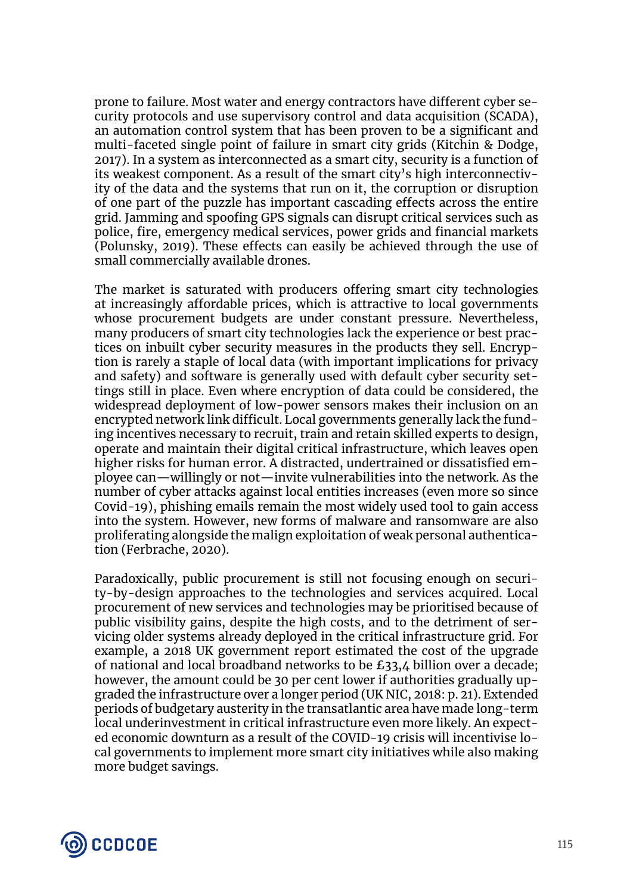prone to failure. Most water and energy contractors have different cyber security protocols and use supervisory control and data acquisition (SCADA), an automation control system that has been proven to be a significant and multi-faceted single point of failure in smart city grids (Kitchin & Dodge, 2017). In a system as interconnected as a smart city, security is a function of its weakest component. As a result of the smart city's high interconnectivity of the data and the systems that run on it, the corruption or disruption of one part of the puzzle has important cascading effects across the entire grid. Jamming and spoofing GPS signals can disrupt critical services such as police, fire, emergency medical services, power grids and financial markets (Polunsky, 2019). These effects can easily be achieved through the use of small commercially available drones.

The market is saturated with producers offering smart city technologies at increasingly affordable prices, which is attractive to local governments whose procurement budgets are under constant pressure. Nevertheless, many producers of smart city technologies lack the experience or best practices on inbuilt cyber security measures in the products they sell. Encryption is rarely a staple of local data (with important implications for privacy and safety) and software is generally used with default cyber security settings still in place. Even where encryption of data could be considered, the widespread deployment of low-power sensors makes their inclusion on an encrypted network link difficult. Local governments generally lack the funding incentives necessary to recruit, train and retain skilled experts to design, operate and maintain their digital critical infrastructure, which leaves open higher risks for human error. A distracted, undertrained or dissatisfied employee can—willingly or not—invite vulnerabilities into the network. As the number of cyber attacks against local entities increases (even more so since Covid-19), phishing emails remain the most widely used tool to gain access into the system. However, new forms of malware and ransomware are also proliferating alongside the malign exploitation of weak personal authentication (Ferbrache, 2020).

Paradoxically, public procurement is still not focusing enough on security-by-design approaches to the technologies and services acquired. Local procurement of new services and technologies may be prioritised because of public visibility gains, despite the high costs, and to the detriment of servicing older systems already deployed in the critical infrastructure grid. For example, a 2018 UK government report estimated the cost of the upgrade of national and local broadband networks to be  $£33,4$  billion over a decade; however, the amount could be 30 per cent lower if authorities gradually upgraded the infrastructure over a longer period (UK NIC, 2018: p. 21). Extended periods of budgetary austerity in the transatlantic area have made long-term local underinvestment in critical infrastructure even more likely. An expected economic downturn as a result of the COVID-19 crisis will incentivise local governments to implement more smart city initiatives while also making more budget savings.

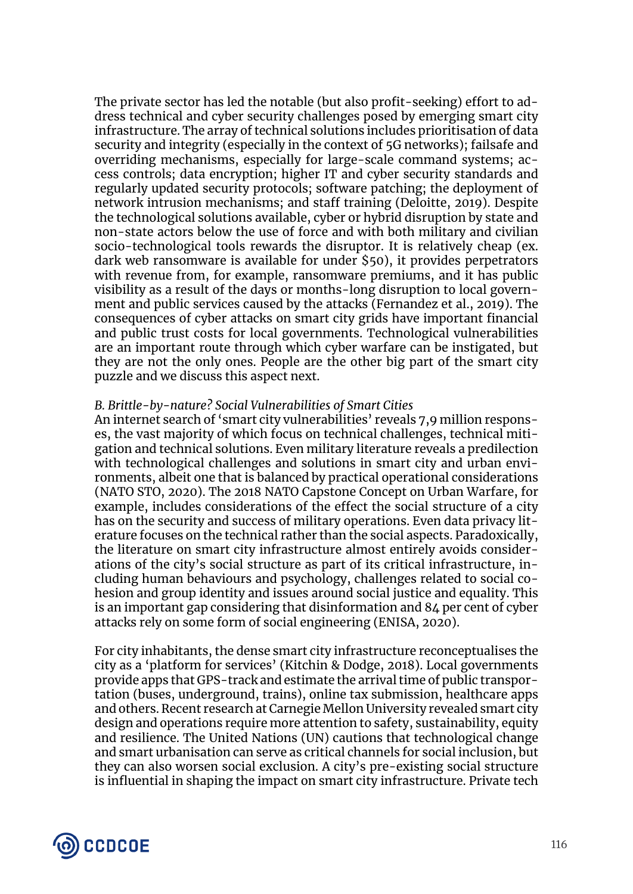The private sector has led the notable (but also profit-seeking) effort to address technical and cyber security challenges posed by emerging smart city infrastructure. The array of technical solutions includes prioritisation of data security and integrity (especially in the context of 5G networks); failsafe and overriding mechanisms, especially for large-scale command systems; access controls; data encryption; higher IT and cyber security standards and regularly updated security protocols; software patching; the deployment of network intrusion mechanisms; and staff training (Deloitte, 2019). Despite the technological solutions available, cyber or hybrid disruption by state and non-state actors below the use of force and with both military and civilian socio-technological tools rewards the disruptor. It is relatively cheap (ex. dark web ransomware is available for under \$50), it provides perpetrators with revenue from, for example, ransomware premiums, and it has public visibility as a result of the days or months-long disruption to local government and public services caused by the attacks (Fernandez et al., 2019). The consequences of cyber attacks on smart city grids have important financial and public trust costs for local governments. Technological vulnerabilities are an important route through which cyber warfare can be instigated, but they are not the only ones. People are the other big part of the smart city puzzle and we discuss this aspect next.

### *B. Brittle-by-nature? Social Vulnerabilities of Smart Cities*

An internet search of 'smart city vulnerabilities' reveals 7,9 million responses, the vast majority of which focus on technical challenges, technical mitigation and technical solutions. Even military literature reveals a predilection with technological challenges and solutions in smart city and urban environments, albeit one that is balanced by practical operational considerations (NATO STO, 2020). The 2018 NATO Capstone Concept on Urban Warfare, for example, includes considerations of the effect the social structure of a city has on the security and success of military operations. Even data privacy literature focuses on the technical rather than the social aspects. Paradoxically, the literature on smart city infrastructure almost entirely avoids considerations of the city's social structure as part of its critical infrastructure, including human behaviours and psychology, challenges related to social cohesion and group identity and issues around social justice and equality. This is an important gap considering that disinformation and 84 per cent of cyber attacks rely on some form of social engineering (ENISA, 2020).

For city inhabitants, the dense smart city infrastructure reconceptualises the city as a 'platform for services' (Kitchin & Dodge, 2018). Local governments provide apps that GPS-track and estimate the arrival time of public transportation (buses, underground, trains), online tax submission, healthcare apps and others. Recent research at Carnegie Mellon University revealed smart city design and operations require more attention to safety, sustainability, equity and resilience. The United Nations (UN) cautions that technological change and smart urbanisation can serve as critical channels for social inclusion, but they can also worsen social exclusion. A city's pre-existing social structure is influential in shaping the impact on smart city infrastructure. Private tech

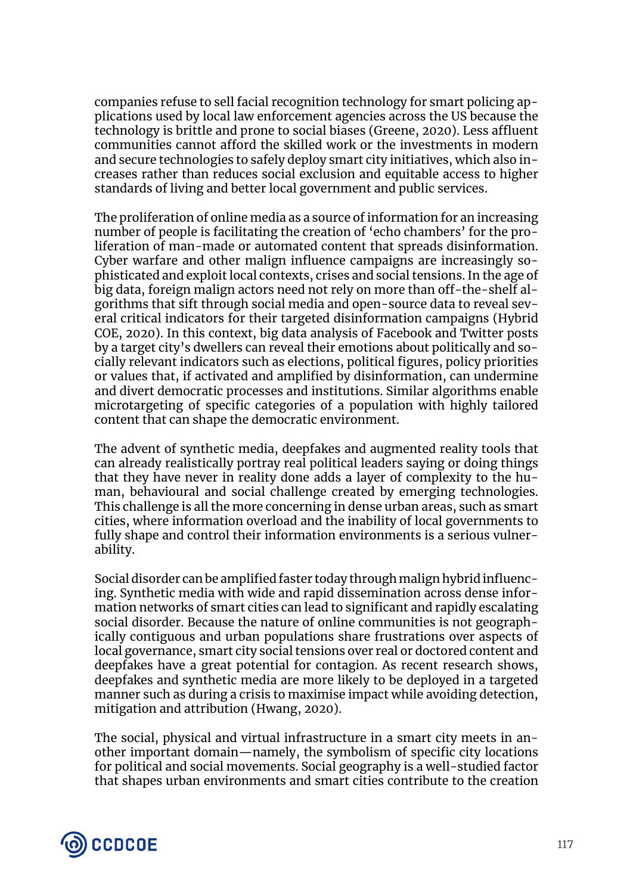companies refuse to sell facial recognition technology for smart policing applications used by local law enforcement agencies across the US because the technology is brittle and prone to social biases (Greene, 2020). Less affluent communities cannot afford the skilled work or the investments in modern and secure technologies to safely deploy smart city initiatives, which also increases rather than reduces social exclusion and equitable access to higher standards of living and better local government and public services.

The proliferation of online media as a source of information for an increasing number of people is facilitating the creation of 'echo chambers' for the proliferation of man-made or automated content that spreads disinformation. Cyber warfare and other malign influence campaigns are increasingly sophisticated and exploit local contexts, crises and social tensions. In the age of big data, foreign malign actors need not rely on more than off-the-shelf algorithms that sift through social media and open-source data to reveal several critical indicators for their targeted disinformation campaigns (Hybrid COE, 2020). In this context, big data analysis of Facebook and Twitter posts by a target city's dwellers can reveal their emotions about politically and socially relevant indicators such as elections, political figures, policy priorities or values that, if activated and amplified by disinformation, can undermine and divert democratic processes and institutions. Similar algorithms enable microtargeting of specific categories of a population with highly tailored content that can shape the democratic environment.

The advent of synthetic media, deepfakes and augmented reality tools that can already realistically portray real political leaders saying or doing things that they have never in reality done adds a layer of complexity to the human, behavioural and social challenge created by emerging technologies. This challenge is all the more concerning in dense urban areas, such as smart cities, where information overload and the inability of local governments to fully shape and control their information environments is a serious vulnerability.

Social disorder can be amplified faster today through malign hybrid influencing. Synthetic media with wide and rapid dissemination across dense information networks of smart cities can lead to significant and rapidly escalating social disorder. Because the nature of online communities is not geographically contiguous and urban populations share frustrations over aspects of local governance, smart city social tensions over real or doctored content and deepfakes have a great potential for contagion. As recent research shows, deepfakes and synthetic media are more likely to be deployed in a targeted manner such as during a crisis to maximise impact while avoiding detection, mitigation and attribution (Hwang, 2020).

The social, physical and virtual infrastructure in a smart city meets in another important domain—namely, the symbolism of specific city locations for political and social movements. Social geography is a well-studied factor that shapes urban environments and smart cities contribute to the creation

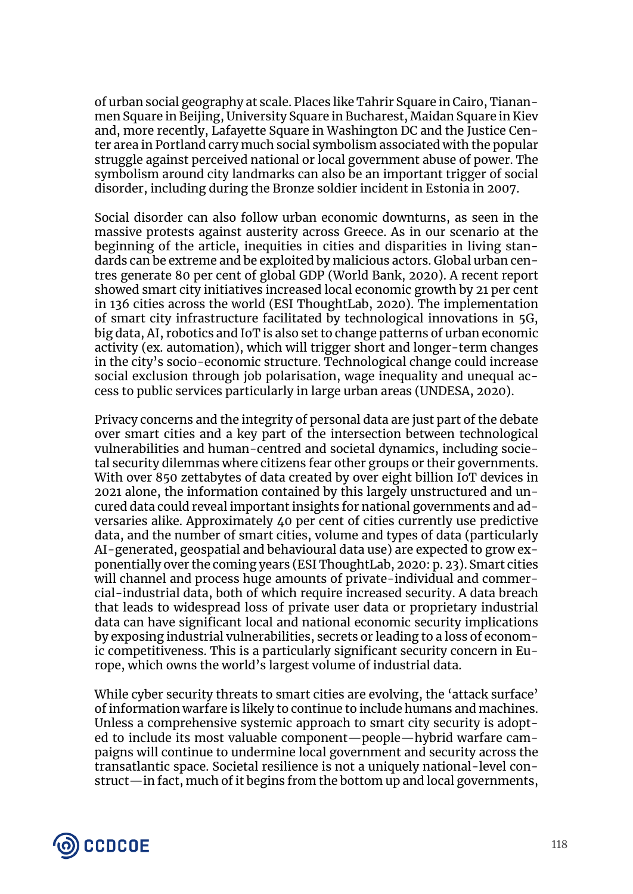of urban social geography at scale. Places like Tahrir Square in Cairo, Tiananmen Square in Beijing, University Square in Bucharest, Maidan Square in Kiev and, more recently, Lafayette Square in Washington DC and the Justice Center area in Portland carry much social symbolism associated with the popular struggle against perceived national or local government abuse of power. The symbolism around city landmarks can also be an important trigger of social disorder, including during the Bronze soldier incident in Estonia in 2007.

Social disorder can also follow urban economic downturns, as seen in the massive protests against austerity across Greece. As in our scenario at the beginning of the article, inequities in cities and disparities in living standards can be extreme and be exploited by malicious actors. Global urban centres generate 80 per cent of global GDP (World Bank, 2020). A recent report showed smart city initiatives increased local economic growth by 21 per cent in 136 cities across the world (ESI ThoughtLab, 2020). The implementation of smart city infrastructure facilitated by technological innovations in 5G, big data, AI, robotics and IoT is also set to change patterns of urban economic activity (ex. automation), which will trigger short and longer-term changes in the city's socio-economic structure. Technological change could increase social exclusion through job polarisation, wage inequality and unequal access to public services particularly in large urban areas (UNDESA, 2020).

Privacy concerns and the integrity of personal data are just part of the debate over smart cities and a key part of the intersection between technological vulnerabilities and human-centred and societal dynamics, including societal security dilemmas where citizens fear other groups or their governments. With over 850 zettabytes of data created by over eight billion IoT devices in 2021 alone, the information contained by this largely unstructured and uncured data could reveal important insights for national governments and adversaries alike. Approximately 40 per cent of cities currently use predictive data, and the number of smart cities, volume and types of data (particularly AI-generated, geospatial and behavioural data use) are expected to grow exponentially over the coming years (ESI ThoughtLab, 2020: p. 23). Smart cities will channel and process huge amounts of private-individual and commercial-industrial data, both of which require increased security. A data breach that leads to widespread loss of private user data or proprietary industrial data can have significant local and national economic security implications by exposing industrial vulnerabilities, secrets or leading to a loss of economic competitiveness. This is a particularly significant security concern in Europe, which owns the world's largest volume of industrial data.

While cyber security threats to smart cities are evolving, the 'attack surface' of information warfare is likely to continue to include humans and machines. Unless a comprehensive systemic approach to smart city security is adopted to include its most valuable component—people—hybrid warfare campaigns will continue to undermine local government and security across the transatlantic space. Societal resilience is not a uniquely national-level construct—in fact, much of it begins from the bottom up and local governments,

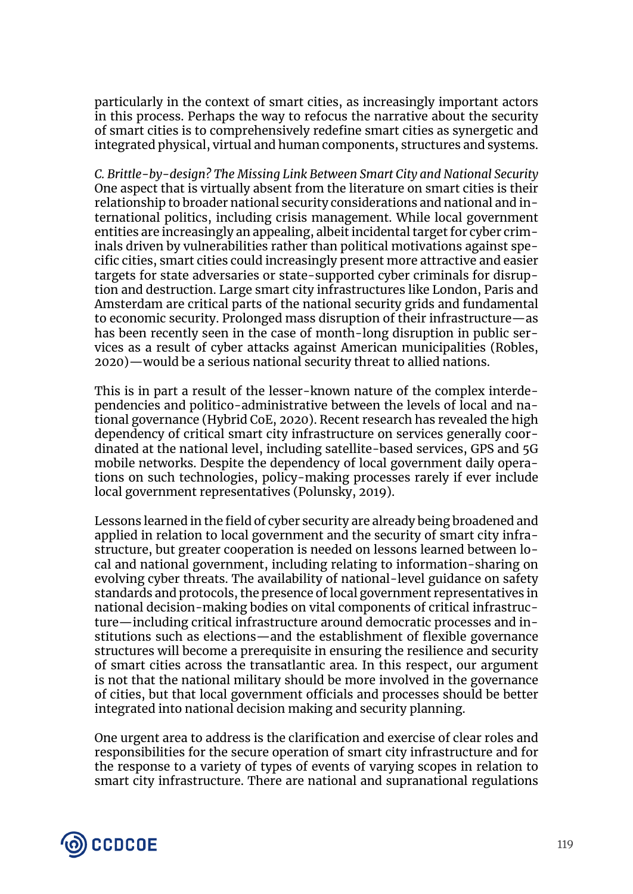particularly in the context of smart cities, as increasingly important actors in this process. Perhaps the way to refocus the narrative about the security of smart cities is to comprehensively redefine smart cities as synergetic and integrated physical, virtual and human components, structures and systems.

*C. Brittle-by-design? The Missing Link Between Smart City and National Security* One aspect that is virtually absent from the literature on smart cities is their relationship to broader national security considerations and national and international politics, including crisis management. While local government entities are increasingly an appealing, albeit incidental target for cyber criminals driven by vulnerabilities rather than political motivations against specific cities, smart cities could increasingly present more attractive and easier targets for state adversaries or state-supported cyber criminals for disruption and destruction. Large smart city infrastructures like London, Paris and Amsterdam are critical parts of the national security grids and fundamental to economic security. Prolonged mass disruption of their infrastructure—as has been recently seen in the case of month-long disruption in public services as a result of cyber attacks against American municipalities (Robles, 2020)—would be a serious national security threat to allied nations.

This is in part a result of the lesser-known nature of the complex interdependencies and politico-administrative between the levels of local and national governance (Hybrid CoE, 2020). Recent research has revealed the high dependency of critical smart city infrastructure on services generally coordinated at the national level, including satellite-based services, GPS and 5G mobile networks. Despite the dependency of local government daily operations on such technologies, policy-making processes rarely if ever include local government representatives (Polunsky, 2019).

Lessons learned in the field of cyber security are already being broadened and applied in relation to local government and the security of smart city infrastructure, but greater cooperation is needed on lessons learned between local and national government, including relating to information-sharing on evolving cyber threats. The availability of national-level guidance on safety standards and protocols, the presence of local government representatives in national decision-making bodies on vital components of critical infrastructure—including critical infrastructure around democratic processes and institutions such as elections—and the establishment of flexible governance structures will become a prerequisite in ensuring the resilience and security of smart cities across the transatlantic area. In this respect, our argument is not that the national military should be more involved in the governance of cities, but that local government officials and processes should be better integrated into national decision making and security planning.

One urgent area to address is the clarification and exercise of clear roles and responsibilities for the secure operation of smart city infrastructure and for the response to a variety of types of events of varying scopes in relation to smart city infrastructure. There are national and supranational regulations

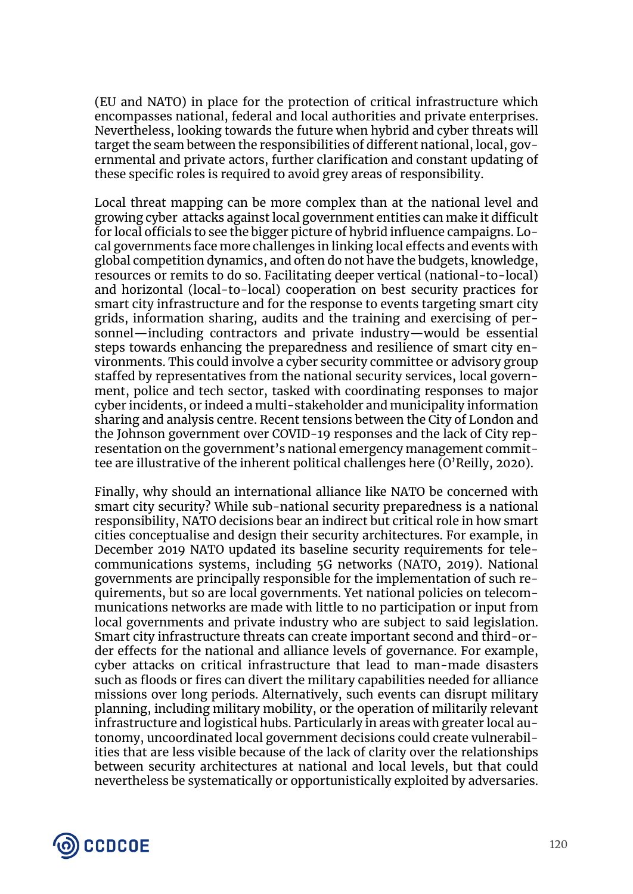(EU and NATO) in place for the protection of critical infrastructure which encompasses national, federal and local authorities and private enterprises. Nevertheless, looking towards the future when hybrid and cyber threats will target the seam between the responsibilities of different national, local, governmental and private actors, further clarification and constant updating of these specific roles is required to avoid grey areas of responsibility.

Local threat mapping can be more complex than at the national level and growing cyber attacks against local government entities can make it difficult for local officials to see the bigger picture of hybrid influence campaigns. Local governments face more challenges in linking local effects and events with global competition dynamics, and often do not have the budgets, knowledge, resources or remits to do so. Facilitating deeper vertical (national-to-local) and horizontal (local-to-local) cooperation on best security practices for smart city infrastructure and for the response to events targeting smart city grids, information sharing, audits and the training and exercising of personnel—including contractors and private industry—would be essential steps towards enhancing the preparedness and resilience of smart city environments. This could involve a cyber security committee or advisory group staffed by representatives from the national security services, local government, police and tech sector, tasked with coordinating responses to major cyber incidents, or indeed a multi-stakeholder and municipality information sharing and analysis centre. Recent tensions between the City of London and the Johnson government over COVID-19 responses and the lack of City representation on the government's national emergency management committee are illustrative of the inherent political challenges here (O'Reilly, 2020).

Finally, why should an international alliance like NATO be concerned with smart city security? While sub-national security preparedness is a national responsibility, NATO decisions bear an indirect but critical role in how smart cities conceptualise and design their security architectures. For example, in December 2019 NATO updated its baseline security requirements for telecommunications systems, including 5G networks (NATO, 2019). National governments are principally responsible for the implementation of such requirements, but so are local governments. Yet national policies on telecommunications networks are made with little to no participation or input from local governments and private industry who are subject to said legislation. Smart city infrastructure threats can create important second and third-order effects for the national and alliance levels of governance. For example, cyber attacks on critical infrastructure that lead to man-made disasters such as floods or fires can divert the military capabilities needed for alliance missions over long periods. Alternatively, such events can disrupt military planning, including military mobility, or the operation of militarily relevant infrastructure and logistical hubs. Particularly in areas with greater local autonomy, uncoordinated local government decisions could create vulnerabilities that are less visible because of the lack of clarity over the relationships between security architectures at national and local levels, but that could nevertheless be systematically or opportunistically exploited by adversaries.

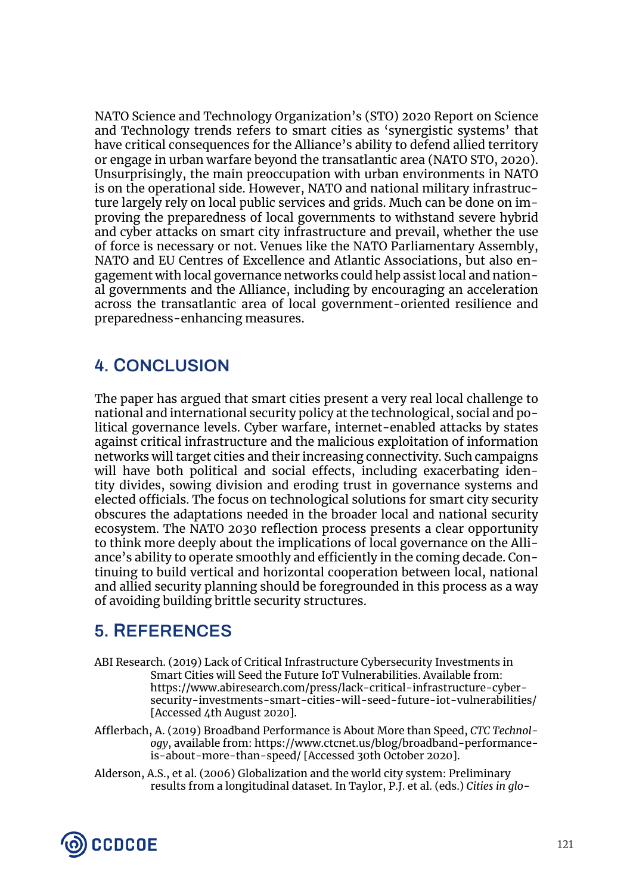NATO Science and Technology Organization's (STO) 2020 Report on Science and Technology trends refers to smart cities as 'synergistic systems' that have critical consequences for the Alliance's ability to defend allied territory or engage in urban warfare beyond the transatlantic area (NATO STO, 2020). Unsurprisingly, the main preoccupation with urban environments in NATO is on the operational side. However, NATO and national military infrastructure largely rely on local public services and grids. Much can be done on improving the preparedness of local governments to withstand severe hybrid and cyber attacks on smart city infrastructure and prevail, whether the use of force is necessary or not. Venues like the NATO Parliamentary Assembly, NATO and EU Centres of Excellence and Atlantic Associations, but also engagement with local governance networks could help assist local and national governments and the Alliance, including by encouraging an acceleration across the transatlantic area of local government-oriented resilience and preparedness-enhancing measures.

## **4. CONCLUSION**

The paper has argued that smart cities present a very real local challenge to national and international security policy at the technological, social and political governance levels. Cyber warfare, internet-enabled attacks by states against critical infrastructure and the malicious exploitation of information networks will target cities and their increasing connectivity. Such campaigns will have both political and social effects, including exacerbating identity divides, sowing division and eroding trust in governance systems and elected officials. The focus on technological solutions for smart city security obscures the adaptations needed in the broader local and national security ecosystem. The NATO 2030 reflection process presents a clear opportunity to think more deeply about the implications of local governance on the Alliance's ability to operate smoothly and efficiently in the coming decade. Continuing to build vertical and horizontal cooperation between local, national and allied security planning should be foregrounded in this process as a way of avoiding building brittle security structures.

## **5. REFERENCES**

- ABI Research. (2019) Lack of Critical Infrastructure Cybersecurity Investments in Smart Cities will Seed the Future IoT Vulnerabilities. Available from: https://www.abiresearch.com/press/lack-critical-infrastructure-cybersecurity-investments-smart-cities-will-seed-future-iot-vulnerabilities/ [Accessed 4th August 2020].
- Afflerbach, A. (2019) Broadband Performance is About More than Speed, *CTC Technology*, available from: https://www.ctcnet.us/blog/broadband-performanceis-about-more-than-speed/ [Accessed 30th October 2020].
- Alderson, A.S., et al. (2006) Globalization and the world city system: Preliminary results from a longitudinal dataset. In Taylor, P.J. et al. (eds.) *Cities in glo-*

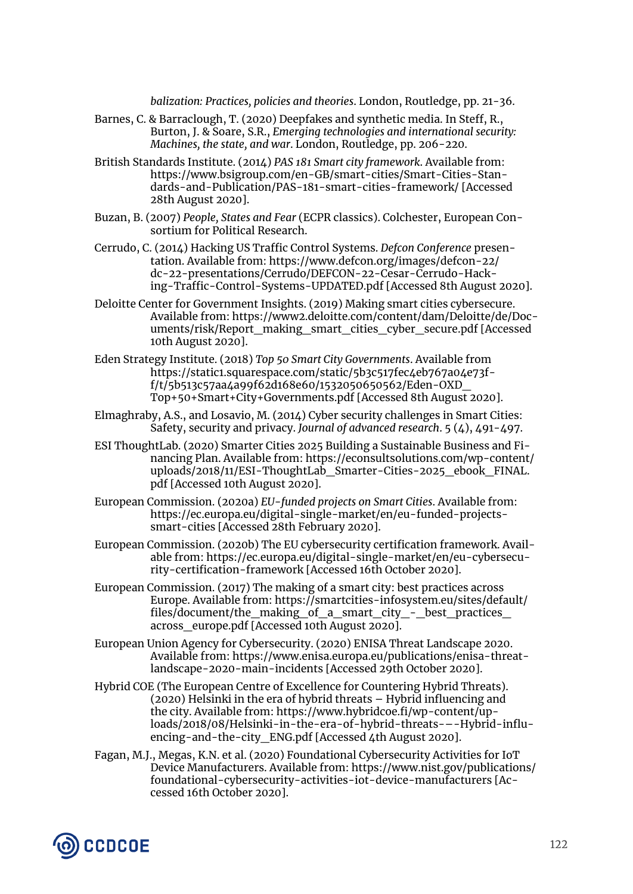*balization: Practices, policies and theories*. London, Routledge, pp. 21-36.

- Barnes, C. & Barraclough, T. (2020) Deepfakes and synthetic media. In Steff, R., Burton, J. & Soare, S.R., *Emerging technologies and international security: Machines, the state, and war*. London, Routledge, pp. 206-220.
- British Standards Institute. (2014) *PAS 181 Smart city framework*. Available from: https://www.bsigroup.com/en-GB/smart-cities/Smart-Cities-Standards-and-Publication/PAS-181-smart-cities-framework/ [Accessed 28th August 2020].
- Buzan, B. (2007) *People, States and Fear* (ECPR classics). Colchester, European Consortium for Political Research.
- Cerrudo, C. (2014) Hacking US Traffic Control Systems. *Defcon Conference* presentation. Available from: https://www.defcon.org/images/defcon-22/ dc-22-presentations/Cerrudo/DEFCON-22-Cesar-Cerrudo-Hacking-Traffic-Control-Systems-UPDATED.pdf [Accessed 8th August 2020].
- Deloitte Center for Government Insights. (2019) Making smart cities cybersecure. Available from: https://www2.deloitte.com/content/dam/Deloitte/de/Documents/risk/Report\_making\_smart\_cities\_cyber\_secure.pdf [Accessed] 10th August 2020].
- Eden Strategy Institute. (2018) *Top 50 Smart City Governments*. Available from https://static1.squarespace.com/static/5b3c517fec4eb767a04e73ff/t/5b513c57aa4a99f62d168e60/1532050650562/Eden-OXD\_ Top+50+Smart+City+Governments.pdf [Accessed 8th August 2020].
- Elmaghraby, A.S., and Losavio, M. (2014) Cyber security challenges in Smart Cities: Safety, security and privacy. *Journal of advanced research*. 5 (4), 491-497.
- ESI ThoughtLab. (2020) Smarter Cities 2025 Building a Sustainable Business and Financing Plan. Available from: https://econsultsolutions.com/wp-content/ uploads/2018/11/ESI-ThoughtLab\_Smarter-Cities-2025\_ebook\_FINAL. pdf [Accessed 10th August 2020].
- European Commission. (2020a) *EU-funded projects on Smart Cities*. Available from: https://ec.europa.eu/digital-single-market/en/eu-funded-projectssmart-cities [Accessed 28th February 2020].
- European Commission. (2020b) The EU cybersecurity certification framework. Available from: https://ec.europa.eu/digital-single-market/en/eu-cybersecurity-certification-framework [Accessed 16th October 2020].
- European Commission. (2017) The making of a smart city: best practices across Europe. Available from: https://smartcities-infosystem.eu/sites/default/ files/document/the\_making\_of\_a\_smart\_city\_-\_best\_practices\_ across\_europe.pdf [Accessed 10th August 2020].
- European Union Agency for Cybersecurity. (2020) ENISA Threat Landscape 2020. Available from: https://www.enisa.europa.eu/publications/enisa-threatlandscape-2020-main-incidents [Accessed 29th October 2020].
- Hybrid COE (The European Centre of Excellence for Countering Hybrid Threats). (2020) Helsinki in the era of hybrid threats – Hybrid influencing and the city. Available from: https://www.hybridcoe.fi/wp-content/uploads/2018/08/Helsinki-in-the-era-of-hybrid-threats-–-Hybrid-influencing-and-the-city\_ENG.pdf [Accessed 4th August 2020].
- Fagan, M.J., Megas, K.N. et al. (2020) Foundational Cybersecurity Activities for IoT Device Manufacturers. Available from: https://www.nist.gov/publications/ foundational-cybersecurity-activities-iot-device-manufacturers [Accessed 16th October 2020].

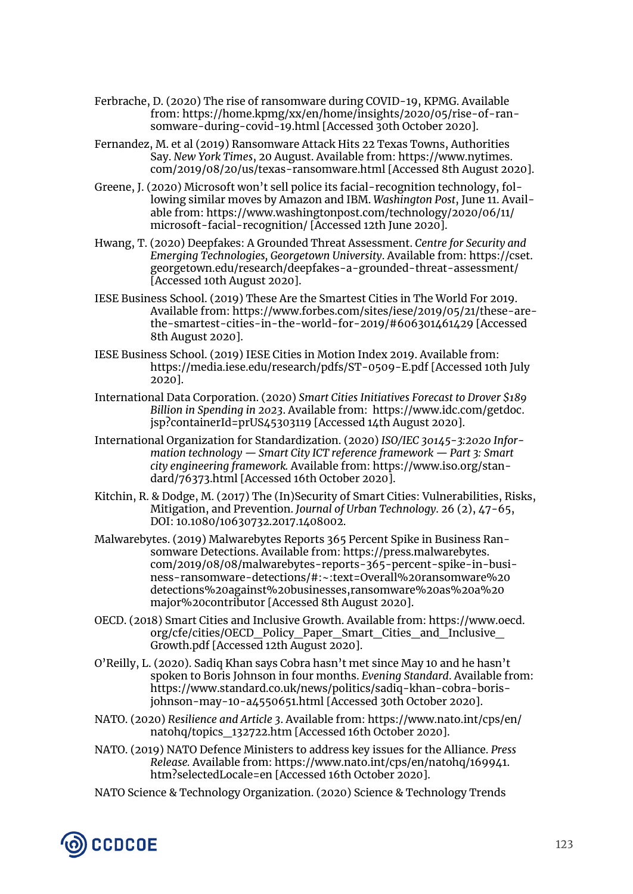- Ferbrache, D. (2020) The rise of ransomware during COVID-19, KPMG. Available from: https://home.kpmg/xx/en/home/insights/2020/05/rise-of-ransomware-during-covid-19.html [Accessed 30th October 2020].
- Fernandez, M. et al (2019) Ransomware Attack Hits 22 Texas Towns, Authorities Say. *New York Times*, 20 August. Available from: https://www.nytimes. com/2019/08/20/us/texas-ransomware.html [Accessed 8th August 2020].
- Greene, J. (2020) Microsoft won't sell police its facial-recognition technology, following similar moves by Amazon and IBM. *Washington Post*, June 11. Available from: https://www.washingtonpost.com/technology/2020/06/11/ microsoft-facial-recognition/ [Accessed 12th June 2020].
- Hwang, T. (2020) Deepfakes: A Grounded Threat Assessment. *Centre for Security and Emerging Technologies, Georgetown University*. Available from: https://cset. georgetown.edu/research/deepfakes-a-grounded-threat-assessment/ [Accessed 10th August 2020].
- IESE Business School. (2019) These Are the Smartest Cities in The World For 2019. Available from: https://www.forbes.com/sites/iese/2019/05/21/these-arethe-smartest-cities-in-the-world-for-2019/#606301461429 [Accessed 8th August 2020].
- IESE Business School. (2019) IESE Cities in Motion Index 2019. Available from: https://media.iese.edu/research/pdfs/ST-0509-E.pdf [Accessed 10th July 2020].
- International Data Corporation. (2020) *Smart Cities Initiatives Forecast to Drover \$189 Billion in Spending in 2023*. Available from: https://www.idc.com/getdoc. jsp?containerId=prUS45303119 [Accessed 14th August 2020].
- International Organization for Standardization. (2020) *ISO/IEC 30145-3:2020 Information technology — Smart City ICT reference framework — Part 3: Smart city engineering framework.* Available from: https://www.iso.org/standard/76373.html [Accessed 16th October 2020].
- Kitchin, R. & Dodge, M. (2017) The (In)Security of Smart Cities: Vulnerabilities, Risks, Mitigation, and Prevention. *Journal of Urban Technology*. 26 (2), 47-65, DOI: 10.1080/10630732.2017.1408002.
- Malwarebytes. (2019) Malwarebytes Reports 365 Percent Spike in Business Ransomware Detections. Available from: https://press.malwarebytes. com/2019/08/08/malwarebytes-reports-365-percent-spike-in-business-ransomware-detections/#:~:text=Overall%20ransomware%20 detections%20against%20businesses,ransomware%20as%20a%20 major%20contributor [Accessed 8th August 2020].
- OECD. (2018) Smart Cities and Inclusive Growth. Available from: https://www.oecd. org/cfe/cities/OECD\_Policy\_Paper\_Smart\_Cities\_and\_Inclusive\_ Growth.pdf [Accessed 12th August 2020].
- O'Reilly, L. (2020). Sadiq Khan says Cobra hasn't met since May 10 and he hasn't spoken to Boris Johnson in four months. *Evening Standard*. Available from: https://www.standard.co.uk/news/politics/sadiq-khan-cobra-borisjohnson-may-10-a4550651.html [Accessed 30th October 2020].
- NATO. (2020) *Resilience and Article 3*. Available from: https://www.nato.int/cps/en/ natohq/topics\_132722.htm [Accessed 16th October 2020].
- NATO. (2019) NATO Defence Ministers to address key issues for the Alliance. *Press Release.* Available from: https://www.nato.int/cps/en/natohq/169941. htm?selectedLocale=en [Accessed 16th October 2020].
- NATO Science & Technology Organization. (2020) Science & Technology Trends